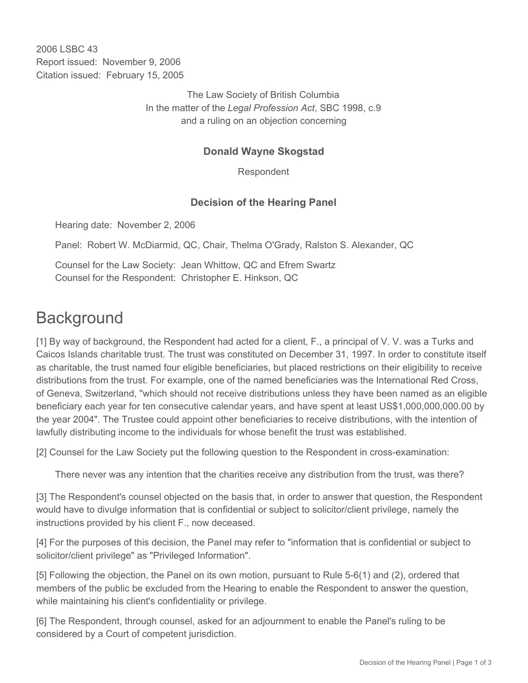2006 LSBC 43 Report issued: November 9, 2006 Citation issued: February 15, 2005

> The Law Society of British Columbia In the matter of the *Legal Profession Act*, SBC 1998, c.9 and a ruling on an objection concerning

## **Donald Wayne Skogstad**

Respondent

## **Decision of the Hearing Panel**

Hearing date: November 2, 2006

Panel: Robert W. McDiarmid, QC, Chair, Thelma O'Grady, Ralston S. Alexander, QC

Counsel for the Law Society: Jean Whittow, QC and Efrem Swartz Counsel for the Respondent: Christopher E. Hinkson, QC

## **Background**

[1] By way of background, the Respondent had acted for a client, F., a principal of V. V. was a Turks and Caicos Islands charitable trust. The trust was constituted on December 31, 1997. In order to constitute itself as charitable, the trust named four eligible beneficiaries, but placed restrictions on their eligibility to receive distributions from the trust. For example, one of the named beneficiaries was the International Red Cross, of Geneva, Switzerland, "which should not receive distributions unless they have been named as an eligible beneficiary each year for ten consecutive calendar years, and have spent at least US\$1,000,000,000.00 by the year 2004". The Trustee could appoint other beneficiaries to receive distributions, with the intention of lawfully distributing income to the individuals for whose benefit the trust was established.

[2] Counsel for the Law Society put the following question to the Respondent in cross-examination:

There never was any intention that the charities receive any distribution from the trust, was there?

[3] The Respondent's counsel objected on the basis that, in order to answer that question, the Respondent would have to divulge information that is confidential or subject to solicitor/client privilege, namely the instructions provided by his client F., now deceased.

[4] For the purposes of this decision, the Panel may refer to "information that is confidential or subject to solicitor/client privilege" as "Privileged Information".

[5] Following the objection, the Panel on its own motion, pursuant to Rule 5-6(1) and (2), ordered that members of the public be excluded from the Hearing to enable the Respondent to answer the question, while maintaining his client's confidentiality or privilege.

[6] The Respondent, through counsel, asked for an adjournment to enable the Panel's ruling to be considered by a Court of competent jurisdiction.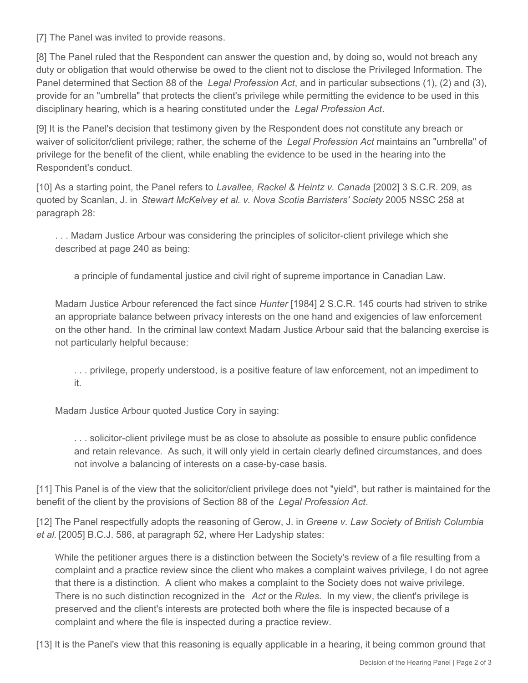[7] The Panel was invited to provide reasons.

[8] The Panel ruled that the Respondent can answer the question and, by doing so, would not breach any duty or obligation that would otherwise be owed to the client not to disclose the Privileged Information. The Panel determined that Section 88 of the *Legal Profession Act*, and in particular subsections (1), (2) and (3), provide for an "umbrella" that protects the client's privilege while permitting the evidence to be used in this disciplinary hearing, which is a hearing constituted under the *Legal Profession Act*.

[9] It is the Panel's decision that testimony given by the Respondent does not constitute any breach or waiver of solicitor/client privilege; rather, the scheme of the *Legal Profession Act* maintains an "umbrella" of privilege for the benefit of the client, while enabling the evidence to be used in the hearing into the Respondent's conduct.

[10] As a starting point, the Panel refers to *Lavallee, Rackel & Heintz v. Canada* [2002] 3 S.C.R. 209, as quoted by Scanlan, J. in *Stewart McKelvey et al. v. Nova Scotia Barristers' Society* 2005 NSSC 258 at paragraph 28:

. . . Madam Justice Arbour was considering the principles of solicitor-client privilege which she described at page 240 as being:

a principle of fundamental justice and civil right of supreme importance in Canadian Law.

Madam Justice Arbour referenced the fact since *Hunter* [1984] 2 S.C.R. 145 courts had striven to strike an appropriate balance between privacy interests on the one hand and exigencies of law enforcement on the other hand. In the criminal law context Madam Justice Arbour said that the balancing exercise is not particularly helpful because:

. . . privilege, properly understood, is a positive feature of law enforcement, not an impediment to it.

Madam Justice Arbour quoted Justice Cory in saying:

. . . solicitor-client privilege must be as close to absolute as possible to ensure public confidence and retain relevance. As such, it will only yield in certain clearly defined circumstances, and does not involve a balancing of interests on a case-by-case basis.

[11] This Panel is of the view that the solicitor/client privilege does not "yield", but rather is maintained for the benefit of the client by the provisions of Section 88 of the *Legal Profession Act*.

[12] The Panel respectfully adopts the reasoning of Gerow, J. in *Greene v. Law Society of British Columbia et al.* [2005] B.C.J. 586, at paragraph 52, where Her Ladyship states:

While the petitioner argues there is a distinction between the Society's review of a file resulting from a complaint and a practice review since the client who makes a complaint waives privilege, I do not agree that there is a distinction. A client who makes a complaint to the Society does not waive privilege. There is no such distinction recognized in the *Act* or the *Rules*. In my view, the client's privilege is preserved and the client's interests are protected both where the file is inspected because of a complaint and where the file is inspected during a practice review.

[13] It is the Panel's view that this reasoning is equally applicable in a hearing, it being common ground that